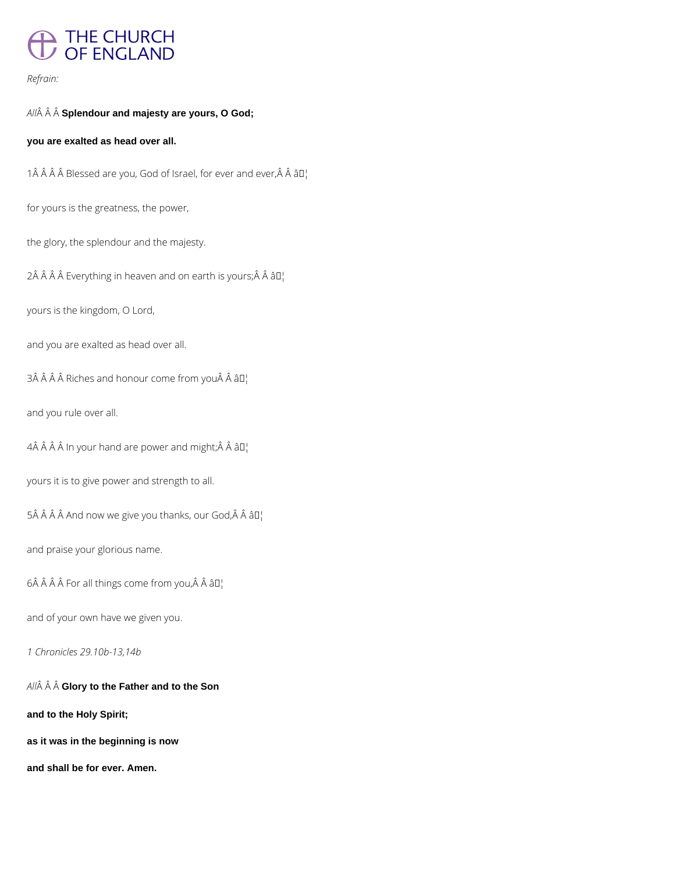# THE CHURCH<br>OF ENGLAND

#### *Refrain:*

### *All* **Splendour and majesty are yours, O God;**

#### **you are exalted as head over all.**

1 $\hat{A}$   $\hat{A}$   $\hat{A}$   $\hat{B}$  Blessed are you, God of Israel, for ever and ever, $\hat{A}$   $\hat{A}$   $\hat{B}$  $I$ <sub>1</sub>

for yours is the greatness, the power,

the glory, the splendour and the majesty.

2Â Â Â Â Everything in heaven and on earth is yours; Â Â â D¦

yours is the kingdom, O Lord,

and you are exalted as head over all.

 $3\hat{A}$   $\hat{A}$   $\hat{A}$  Riches and honour come from you $\hat{A}$   $\hat{A}$   $\hat{a}$   $\Box$ 

and you rule over all.

 $4\hat{A}$   $\hat{A}$   $\hat{A}$   $\hat{A}$  In your hand are power and might;  $\hat{A}$   $\hat{A}$   $\hat{a}$   $\Box$ 

yours it is to give power and strength to all.

 $5\hat{A}$   $\hat{A}$   $\hat{A}$   $\hat{A}$  and now we give you thanks, our God, $\hat{A}$   $\hat{A}$   $\hat{a}$   $\Box$ 

and praise your glorious name.

 $6\hat{A}$   $\hat{A}$   $\hat{A}$   $\hat{B}$  For all things come from you, $\hat{A}$   $\hat{A}$   $\hat{a}$   $\Pi$ <sub>1</sub>

and of your own have we given you.

*All* **Glory to the Father and to the Son**

**and to the Holy Spirit;**

**as it was in the beginning is now**

**and shall be for ever. Amen.**